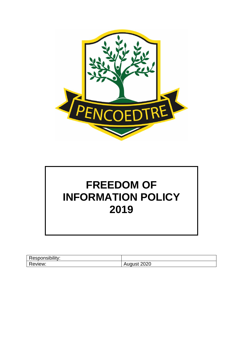



| .<br><br>-<br>upility:<br>$\sim$ 10. $\sim$<br>- -<br>≺esr<br>л |                                                          |
|-----------------------------------------------------------------|----------------------------------------------------------|
| −<br>eview:                                                     | ∩^^<br>$\overline{ }$<br>$\cdots$<br>-<br>-949<br>$\sim$ |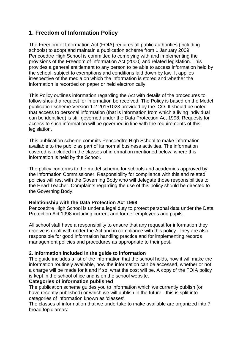# **1. Freedom of Information Policy**

The Freedom of Information Act (FOIA) requires all public authorities (including schools) to adopt and maintain a publication scheme from 1 January 2009. Pencoedtre High School is committed to complying with and implementing the provisions of the Freedom of Information Act (2000) and related legislation. This provides a general entitlement to any person to be able to access information held by the school, subject to exemptions and conditions laid down by law. It applies irrespective of the media on which the information is stored and whether the information is recorded on paper or held electronically.

This Policy outlines information regarding the Act with details of the procedures to follow should a request for information be received. The Policy is based on the Model publication scheme Version 1.2 20151023 provided by the ICO. It should be noted that access to personal information (that is information from which a living individual can be identified) is still governed under the Data Protection Act 1998. Requests for access to such information will be governed in line with the requirements of this legislation.

This publication scheme commits Pencoedtre High School to make information available to the public as part of its normal business activities. The information covered is included in the classes of information mentioned below, where this information is held by the School.

The policy conforms to the model scheme for schools and academies approved by the Information Commissioner. Responsibility for compliance with this and related policies will rest with the Governing Body who will delegate those responsibilities to the Head Teacher. Complaints regarding the use of this policy should be directed to the Governing Body.

### **Relationship with the Data Protection Act 1998**

Pencoedtre High School is under a legal duty to protect personal data under the Data Protection Act 1998 including current and former employees and pupils.

All school staff have a responsibility to ensure that any request for information they receive is dealt with under the Act and in compliance with this policy. They are also responsible for good information handling practice and for implementing records management policies and procedures as appropriate to their post.

### **2. Information included in the guide to information**

The guide includes a list of the information that the school holds, how it will make the information routinely available, how the information can be accessed, whether or not a charge will be made for it and if so, what the cost will be. A copy of the FOIA policy is kept in the school office and is on the school website.

#### **Categories of information published**

The publication scheme guides you to information which we currently publish (or have recently published) or which we will publish in the future - this is split into categories of information known as 'classes'.

The classes of information that we undertake to make available are organized into 7 broad topic areas: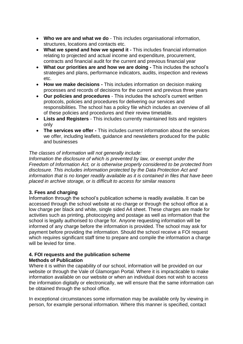- **Who we are and what we do** This includes organisational information, structures, locations and contacts etc.
- **What we spend and how we spend it -** This includes financial information relating to projected and actual income and expenditure, procurement, contracts and financial audit for the current and previous financial year
- **What our priorities are and how we are doing -** This includes the school's strategies and plans, performance indicators, audits, inspection and reviews etc.
- **How we make decisions -** This includes information on decision making processes and records of decisions for the current and previous three years
- **Our policies and procedures**  This includes the school's current written protocols, policies and procedures for delivering our services and responsibilities. The school has a policy file which includes an overview of all of these policies and procedures and their review timetable.
- **Lists and Registers**  This includes currently maintained lists and registers only
- **The services we offer -** This includes current information about the services we offer, including leaflets, guidance and newsletters produced for the public and businesses

### *The classes of information will not generally include:*

*Information the disclosure of which is prevented by law, or exempt under the Freedom of Information Act, or is otherwise properly considered to be protected from disclosure. This includes information protected by the Data Protection Act and information that is no longer readily available as it is contained in files that have been placed in archive storage, or is difficult to access for similar reasons*

### **3. Fees and charging**

Information through the school's publication scheme is readily available. It can be accessed through the school website at no charge or through the school office at a low charge per black and white, single sided A4 sheet. These charges are made for activities such as printing, photocopying and postage as well as information that the school is legally authorised to charge for. Anyone requesting information will be informed of any charge before the information is provided. The school may ask for payment before providing the information. Should the school receive a FOI request which requires significant staff time to prepare and compile the information a charge will be levied for time.

#### **4. FOI requests and the publication scheme Methods of Publication**

Where it is within the capability of our school, information will be provided on our website or through the Vale of Glamorgan Portal. Where it is impracticable to make information available on our website or when an individual does not wish to access the information digitally or electronically, we will ensure that the same information can be obtained through the school office.

In exceptional circumstances some information may be available only by viewing in person, for example personal information. Where this manner is specified, contact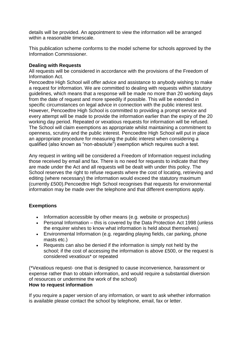details will be provided. An appointment to view the information will be arranged within a reasonable timescale.

This publication scheme conforms to the model scheme for schools approved by the Information Commissioner.

### **Dealing with Requests**

All requests will be considered in accordance with the provisions of the Freedom of Information Act.

Pencoedtre High School will offer advice and assistance to anybody wishing to make a request for information. We are committed to dealing with requests within statutory guidelines, which means that a response will be made no more than 20 working days from the date of request and more speedily if possible. This will be extended in specific circumstances on legal advice in connection with the public interest test. However, Pencoedtre High School is committed to providing a prompt service and every attempt will be made to provide the information earlier than the expiry of the 20 working day period. Repeated or vexatious requests for information will be refused. The School will claim exemptions as appropriate whilst maintaining a commitment to openness, scrutiny and the public interest. Pencoedtre High School will put in place an appropriate procedure for measuring the public interest when considering a qualified (also known as "non-absolute") exemption which requires such a test.

Any request in writing will be considered a Freedom of Information request including those received by email and fax. There is no need for requests to indicate that they are made under the Act and all requests will be dealt with under this policy. The School reserves the right to refuse requests where the cost of locating, retrieving and editing (where necessary) the information would exceed the statutory maximum (currently £500).Pencoedtre High School recognises that requests for environmental information may be made over the telephone and that different exemptions apply.

# **Exemptions**

- Information accessible by other means (e.g. website or prospectus)
- Personal Information this is covered by the Data Protection Act 1998 (unless the enquirer wishes to know what information is held about themselves)
- Environmental Information (e.g. regarding playing fields, car parking, phone masts etc.)
- Requests can also be denied if the information is simply not held by the school; if the cost of accessing the information is above £500, or the request is considered vexatious\* or repeated

(\*Vexatious request- one that is designed to cause inconvenience, harassment or expense rather than to obtain information, and would require a substantial diversion of resources or undermine the work of the school) **How to request information**

If you require a paper version of any information, or want to ask whether information is available please contact the school by telephone, email, fax or letter.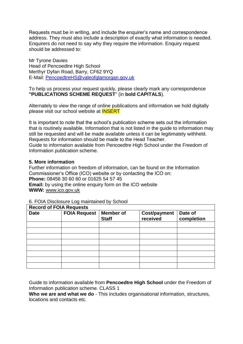Requests must be in writing, and include the enquirer's name and correspondence address. They must also include a description of exactly what information is needed. Enquirers do not need to say why they require the information. Enquiry request should be addressed to:

Mr Tyrone Davies Head of Pencoedtre High School Merthyr Dyfan Road, Barry, CF62 9YQ E-Mail: [PencoedtreHS@valeofglamorgan.gov.uk](mailto:PencoedtreHS@valeofglamorgan.gov.uk)

To help us process your request quickly, please clearly mark any correspondence **"PUBLICATIONS SCHEME REQUEST**" (in **bold CAPITALS**).

Alternately to view the range of online publications and information we hold digitally please visit our school website at INSERT

It is important to note that the school's publication scheme sets out the information that is routinely available. Information that is not listed in the guide to information may still be requested and will be made available unless it can be legitimately withheld. Requests for information should be made to the Head Teacher.

Guide to information available from Pencoedtre High School under the Freedom of Information publication scheme.

#### **5. More information**

Further information on freedom of information, can be found on the Information Commissioner's Office (ICO) website or by contacting the ICO on: **Phone:** 08456 30 60 60 or 01625 54 57 45 **Email:** by using the online enquiry form on the ICO website **WWW:** [www.ico.gov.uk](http://www.ico.gov.uk/)

#### 6. FOIA Disclosure Log maintained by School

| <b>Record of FOIA Requests</b> |                     |                                  |                                 |                       |
|--------------------------------|---------------------|----------------------------------|---------------------------------|-----------------------|
| <b>Date</b>                    | <b>FOIA Request</b> | <b>Member</b> of<br><b>Staff</b> | <b>Cost/payment</b><br>received | Date of<br>completion |
|                                |                     |                                  |                                 |                       |
|                                |                     |                                  |                                 |                       |
|                                |                     |                                  |                                 |                       |
|                                |                     |                                  |                                 |                       |
|                                |                     |                                  |                                 |                       |
|                                |                     |                                  |                                 |                       |
|                                |                     |                                  |                                 |                       |
|                                |                     |                                  |                                 |                       |

Guide to information available from **Pencoedtre High School** under the Freedom of Information publication scheme. CLASS 1

**Who we are and what we do** - This includes organisational information, structures, locations and contacts etc.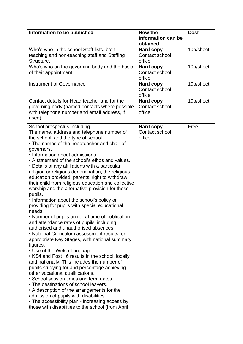| Information to be published                                                                                                                                                                                                                                                                                                                                                                                                                                                                                                                                                                                                                                                                                                                                                                                                                                                                                                                                                                                                                                                                                                                                                                                                                                                                                                                                                                                                  | How the<br>information can be                | <b>Cost</b> |
|------------------------------------------------------------------------------------------------------------------------------------------------------------------------------------------------------------------------------------------------------------------------------------------------------------------------------------------------------------------------------------------------------------------------------------------------------------------------------------------------------------------------------------------------------------------------------------------------------------------------------------------------------------------------------------------------------------------------------------------------------------------------------------------------------------------------------------------------------------------------------------------------------------------------------------------------------------------------------------------------------------------------------------------------------------------------------------------------------------------------------------------------------------------------------------------------------------------------------------------------------------------------------------------------------------------------------------------------------------------------------------------------------------------------------|----------------------------------------------|-------------|
|                                                                                                                                                                                                                                                                                                                                                                                                                                                                                                                                                                                                                                                                                                                                                                                                                                                                                                                                                                                                                                                                                                                                                                                                                                                                                                                                                                                                                              | obtained                                     |             |
| Who's who in the school Staff lists, both                                                                                                                                                                                                                                                                                                                                                                                                                                                                                                                                                                                                                                                                                                                                                                                                                                                                                                                                                                                                                                                                                                                                                                                                                                                                                                                                                                                    | <b>Hard copy</b>                             | 10p/sheet   |
| teaching and non-teaching staff and Staffing<br>Structure.                                                                                                                                                                                                                                                                                                                                                                                                                                                                                                                                                                                                                                                                                                                                                                                                                                                                                                                                                                                                                                                                                                                                                                                                                                                                                                                                                                   | Contact school<br>office                     |             |
| Who's who on the governing body and the basis                                                                                                                                                                                                                                                                                                                                                                                                                                                                                                                                                                                                                                                                                                                                                                                                                                                                                                                                                                                                                                                                                                                                                                                                                                                                                                                                                                                | <b>Hard copy</b>                             | 10p/sheet   |
| of their appointment                                                                                                                                                                                                                                                                                                                                                                                                                                                                                                                                                                                                                                                                                                                                                                                                                                                                                                                                                                                                                                                                                                                                                                                                                                                                                                                                                                                                         | Contact school                               |             |
|                                                                                                                                                                                                                                                                                                                                                                                                                                                                                                                                                                                                                                                                                                                                                                                                                                                                                                                                                                                                                                                                                                                                                                                                                                                                                                                                                                                                                              | office                                       |             |
| <b>Instrument of Governance</b>                                                                                                                                                                                                                                                                                                                                                                                                                                                                                                                                                                                                                                                                                                                                                                                                                                                                                                                                                                                                                                                                                                                                                                                                                                                                                                                                                                                              | <b>Hard copy</b><br>Contact school           | 10p/sheet   |
|                                                                                                                                                                                                                                                                                                                                                                                                                                                                                                                                                                                                                                                                                                                                                                                                                                                                                                                                                                                                                                                                                                                                                                                                                                                                                                                                                                                                                              | office                                       |             |
| Contact details for Head teacher and for the<br>governing body (named contacts where possible<br>with telephone number and email address, if<br>used)                                                                                                                                                                                                                                                                                                                                                                                                                                                                                                                                                                                                                                                                                                                                                                                                                                                                                                                                                                                                                                                                                                                                                                                                                                                                        | <b>Hard copy</b><br>Contact school<br>office | 10p/sheet   |
| School prospectus including<br>The name, address and telephone number of<br>the school, and the type of school.<br>• The names of the headteacher and chair of<br>governors.<br>• Information about admissions.<br>• A statement of the school's ethos and values.<br>• Details of any affiliations with a particular<br>religion or religious denomination, the religious<br>education provided, parents' right to withdraw<br>their child from religious education and collective<br>worship and the alternative provision for those<br>pupils.<br>• Information about the school's policy on<br>providing for pupils with special educational<br>needs.<br>• Number of pupils on roll at time of publication<br>and attendance rates of pupils' including<br>authorised and unauthorised absences.<br>• National Curriculum assessment results for<br>appropriate Key Stages, with national summary<br>figures.<br>• Use of the Welsh Language.<br>• KS4 and Post 16 results in the school, locally<br>and nationally. This includes the number of<br>pupils studying for and percentage achieving<br>other vocational qualifications.<br>• School session times and term dates<br>• The destinations of school leavers.<br>• A description of the arrangements for the<br>admission of pupils with disabilities.<br>• The accessibility plan - increasing access by<br>those with disabilities to the school (from April | <b>Hard copy</b><br>Contact school<br>office | Free        |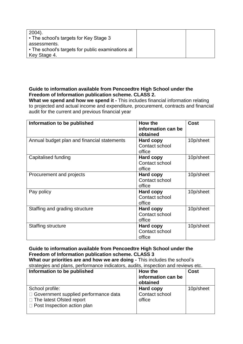| $2004$ ).                                         |  |
|---------------------------------------------------|--|
| • The school's targets for Key Stage 3            |  |
| assessments.                                      |  |
| • The school's targets for public examinations at |  |
| Key Stage 4.                                      |  |

### **Guide to information available from Pencoedtre High School under the Freedom of Information publication scheme. CLASS 2.**

**What we spend and how we spend it -** This includes financial information relating to projected and actual income and expenditure, procurement, contracts and financial audit for the current and previous financial year

| Information to be published                 | How the<br>information can be<br>obtained    | <b>Cost</b> |
|---------------------------------------------|----------------------------------------------|-------------|
| Annual budget plan and financial statements | Hard copy<br>Contact school<br>office        | 10p/sheet   |
| Capitalised funding                         | Hard copy<br>Contact school<br>office        | 10p/sheet   |
| Procurement and projects                    | Hard copy<br>Contact school<br>office        | 10p/sheet   |
| Pay policy                                  | Hard copy<br>Contact school<br>office        | 10p/sheet   |
| Staffing and grading structure              | <b>Hard copy</b><br>Contact school<br>office | 10p/sheet   |
| Staffing structure                          | Hard copy<br>Contact school<br>office        | 10p/sheet   |

#### **Guide to information available from Pencoedtre High School under the Freedom of Information publication scheme. CLASS 3 What our priorities are and how we are doing -** This includes the school's strategies and plans, performance indicators, audits, inspection and reviews etc.

| Information to be published                                                                                                        | How the<br>information can be<br>obtained    | <b>Cost</b> |
|------------------------------------------------------------------------------------------------------------------------------------|----------------------------------------------|-------------|
| School profile:<br>□ Government supplied performance data<br>$\Box$ The latest Ofsted report<br>$\Box$ Post Inspection action plan | <b>Hard copy</b><br>Contact school<br>office | 10p/sheet   |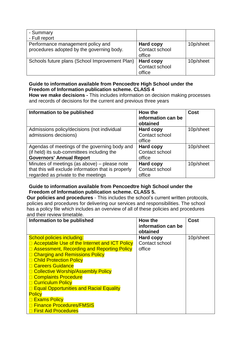| - Summary<br>- Full report                                                     |                                              |           |
|--------------------------------------------------------------------------------|----------------------------------------------|-----------|
| Performance management policy and<br>procedures adopted by the governing body. | <b>Hard copy</b><br>Contact school<br>office | 10p/sheet |
| Schools future plans (School Improvement Plan)                                 | <b>Hard copy</b><br>Contact school<br>office | 10p/sheet |

### **Guide to information available from Pencoedtre High School under the Freedom of Information publication scheme. CLASS 4**

**How we make decisions -** This includes information on decision making processes and records of decisions for the current and previous three years

| Information to be published                         | How the<br>information can be<br>obtained | <b>Cost</b> |
|-----------------------------------------------------|-------------------------------------------|-------------|
| Admissions policy/decisions (not individual         | <b>Hard copy</b>                          | 10p/sheet   |
| admissions decisions)                               | Contact school                            |             |
|                                                     | office                                    |             |
| Agendas of meetings of the governing body and       | <b>Hard copy</b>                          | 10p/sheet   |
| (if held) its sub-committees including the          | Contact school                            |             |
| <b>Governors' Annual Report</b>                     | office                                    |             |
| Minutes of meetings (as above) – please note        | <b>Hard copy</b>                          | 10p/sheet   |
| that this will exclude information that is properly | Contact school                            |             |
| regarded as private to the meetings                 | office                                    |             |

# **Guide to information available from Pencoedtre high School under the Freedom of Information publication scheme. CLASS 5.**

**Our policies and procedures** - This includes the school's current written protocols, policies and procedures for delivering our services and responsibilities. The school has a policy file which includes an overview of all of these policies and procedures and their review timetable.

| Information to be published                     | How the<br>information can be<br>obtained | <b>Cost</b> |
|-------------------------------------------------|-------------------------------------------|-------------|
| <b>School policies including:</b>               | <b>Hard copy</b>                          | 10p/sheet   |
| □ Acceptable Use of the Internet and ICT Policy | Contact school                            |             |
| □ Assessment, Recording and Reporting Policy    | office                                    |             |
| □ Charging and Remissions Policy                |                                           |             |
| <b>Child Protection Policy</b>                  |                                           |             |
| <b>□ Careers Guidance</b>                       |                                           |             |
| □ Collective Worship/Assembly Policy            |                                           |             |
| □ Complaints Procedure                          |                                           |             |
| <b>Curriculum Policy</b>                        |                                           |             |
| □ Equal Opportunities and Racial Equality       |                                           |             |
| <b>Policy</b>                                   |                                           |             |
| <b>Exams Policy</b>                             |                                           |             |
| <b>Finance Procedures/FMSIS</b>                 |                                           |             |
| <b>□ First Aid Procedures</b>                   |                                           |             |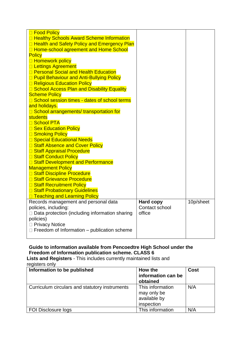| <b>Food Policy</b>                                    |                  |           |
|-------------------------------------------------------|------------------|-----------|
| □ Healthy Schools Award Scheme Information            |                  |           |
| □ Health and Safety Policy and Emergency Plan         |                  |           |
| □ Home-school agreement and Home School               |                  |           |
| <b>Policy</b>                                         |                  |           |
| <b>E</b> Homework policy                              |                  |           |
| □ Lettings Agreement                                  |                  |           |
| □ Personal Social and Health Education                |                  |           |
| <b>D</b> Pupil Behaviour and Anti-Bullying Policy     |                  |           |
| □ Religious Education Policy                          |                  |           |
| □ School Access Plan and Disability Equality          |                  |           |
| <b>Scheme Policy</b>                                  |                  |           |
| □ School session times - dates of school terms        |                  |           |
| and holidays.                                         |                  |           |
| □ School arrangements/ transportation for             |                  |           |
| students                                              |                  |           |
| <b>B</b> School PTA                                   |                  |           |
| <b>Sex Education Policy</b>                           |                  |           |
| <b>□ Smoking Policy</b>                               |                  |           |
| □ Special Educational Needs                           |                  |           |
| □ Staff Absence and Cover Policy                      |                  |           |
| □ Staff Appraisal Procedure                           |                  |           |
| <b>□ Staff Conduct Policy</b>                         |                  |           |
| □ Staff Development and Performance                   |                  |           |
| <b>Management Policy</b>                              |                  |           |
| □ Staff Discipline Procedure                          |                  |           |
| □ Staff Grievance Procedure                           |                  |           |
| □ Staff Recruitment Policy                            |                  |           |
| □ Staff Probationary Guidelines                       |                  |           |
| □ Teaching and Learning Policy                        |                  |           |
| Records management and personal data                  | <b>Hard copy</b> | 10p/sheet |
| policies, including:                                  | Contact school   |           |
| $\Box$ Data protection (including information sharing | office           |           |
| policies)                                             |                  |           |
| □ Privacy Notice                                      |                  |           |
| $\Box$ Freedom of Information – publication scheme    |                  |           |
|                                                       |                  |           |

### **Guide to information available from Pencoedtre High School under the Freedom of Information publication scheme. CLASS 6**

**Lists and Registers** - This includes currently maintained lists and registers only

| Information to be published                    | How the<br>information can be<br>obtained                     | <b>Cost</b> |
|------------------------------------------------|---------------------------------------------------------------|-------------|
| Curriculum circulars and statutory instruments | This information<br>may only be<br>available by<br>inspection | N/A         |
| <b>FOI Disclosure logs</b>                     | This information                                              | N/A         |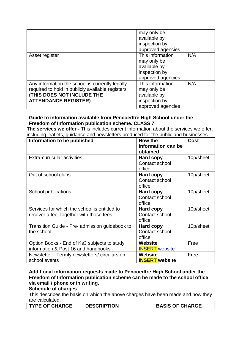|                                                                                                                                                                         | may only be<br>available by<br>inspection by<br>approved agencies                     |     |
|-------------------------------------------------------------------------------------------------------------------------------------------------------------------------|---------------------------------------------------------------------------------------|-----|
| Asset register                                                                                                                                                          | This information<br>may only be<br>available by<br>inspection by<br>approved agencies | N/A |
| Any information the school is currently legally<br>required to hold in publicly available registers<br><b>(THIS DOES NOT INCLUDE THE</b><br><b>ATTENDANCE REGISTER)</b> | This information<br>may only be<br>available by<br>inspection by<br>approved agencies | N/A |

### **Guide to information available from Pencoedtre High School under the Freedom of Information publication scheme. CLASS 7**

**The services we offer -** This includes current information about the services we offer, including leaflets, guidance and newsletters produced for the public and businesses

| Information to be published                    | How the<br>information can be | <b>Cost</b> |
|------------------------------------------------|-------------------------------|-------------|
|                                                | obtained                      |             |
| Extra-curricular activities                    | Hard copy                     | 10p/sheet   |
|                                                | Contact school                |             |
|                                                | office                        |             |
| Out of school clubs                            | Hard copy                     | 10p/sheet   |
|                                                | Contact school                |             |
|                                                | office                        |             |
| School publications                            | Hard copy                     | 10p/sheet   |
|                                                | Contact school                |             |
|                                                | office                        |             |
| Services for which the school is entitled to   | Hard copy                     | 10p/sheet   |
| recover a fee, together with those fees        | Contact school                |             |
|                                                | office                        |             |
| Transition Guide - Pre- admission guidebook to | Hard copy                     | 10p/sheet   |
| the school                                     | Contact school                |             |
|                                                | office                        |             |
| Option Books - End of Ks3 subjects to study    | Website                       | Free        |
| information & Post 16 and handbooks            | <b>INSERT</b> website         |             |
| Newsletter - Termly newsletters/circulars on   | <b>Website</b>                | Free        |
| school events                                  | <b>INSERT</b> website         |             |

### **Additional information requests made to Pencoedtre High School under the Freedom of Information publication scheme can be made to the school office via email / phone or in writing.**

### **Schedule of charges**

This describes the basis on which the above charges have been made and how they are calculated.

| <b>BASIS OF CHARGE</b><br><b>DESCRIPTION</b><br><b>TYPE OF CHARGE</b> |
|-----------------------------------------------------------------------|
|-----------------------------------------------------------------------|